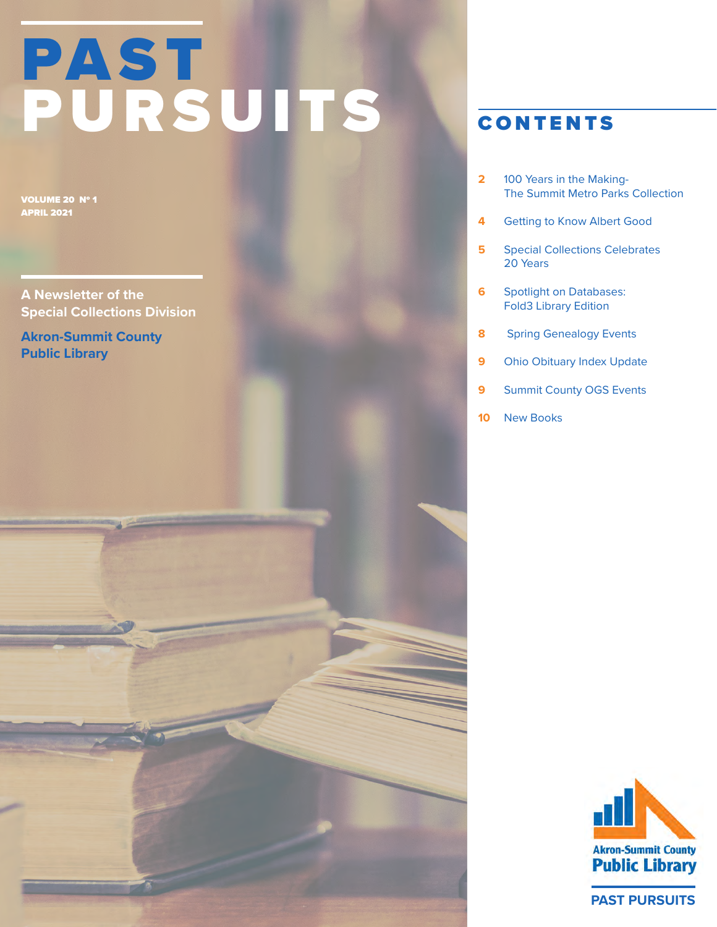# PAST PURSUITS

VOLUME 20 Nº 1 APRIL 2021

**A Newsletter of the Special Collections Division**

**Akron-Summit County Public Library**

### CONTENTS

- 100 Years in the Making-The Summit Metro Parks Collection **2**
- Getting to Know Albert Good **4**
- Special Collections Celebrates 20 Years **5**
- Spotlight on Databases: Fold3 Library Edition **6**
- Spring Genealogy Events **8**
- Ohio Obituary Index Update **9**
- Summit County OGS Events **9**
- New Books **10**



**PAST PURSUITS**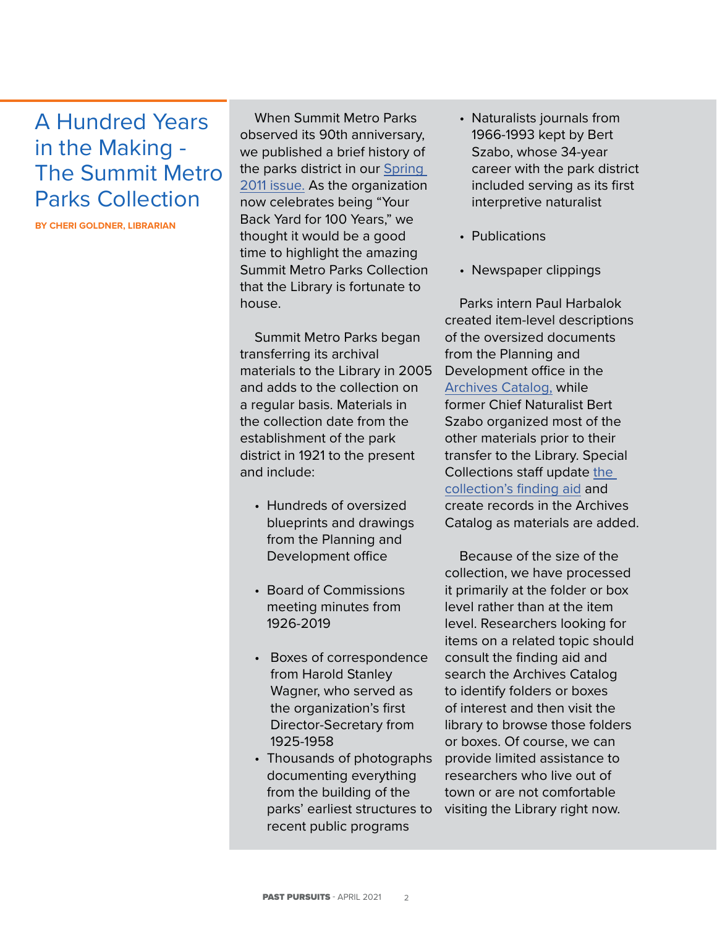## A Hundred Years in the Making - The Summit Metro Parks Collection

**BY CHERI GOLDNER, LIBRARIAN**

When Summit Metro Parks observed its 90th anniversary, we published a brief history of the parks district in our [Spring](https://www.akronlibrary.org/images/Divisions/SpecCol/images/PastPursuits/pursuits-10-1.pdf)  [2011 issue.](https://www.akronlibrary.org/images/Divisions/SpecCol/images/PastPursuits/pursuits-10-1.pdf) As the organization now celebrates being "Your Back Yard for 100 Years," we thought it would be a good time to highlight the amazing Summit Metro Parks Collection that the Library is fortunate to house.

Summit Metro Parks began transferring its archival materials to the Library in 2005 and adds to the collection on a regular basis. Materials in the collection date from the establishment of the park district in 1921 to the present and include:

- Hundreds of oversized blueprints and drawings from the Planning and Development office
- Board of Commissions meeting minutes from 1926-2019
- Boxes of correspondence from Harold Stanley Wagner, who served as the organization's first Director-Secretary from 1925-1958
- Thousands of photographs documenting everything from the building of the parks' earliest structures to recent public programs
- Naturalists journals from 1966-1993 kept by Bert Szabo, whose 34-year career with the park district included serving as its first interpretive naturalist
- Publications
- Newspaper clippings

Parks intern Paul Harbalok created item-level descriptions of the oversized documents from the Planning and Development office in the [Archives Catalog,](https://gencat.eloquent-systems.com/akronlibrary/public) while former Chief Naturalist Bert Szabo organized most of the other materials prior to their transfer to the Library. Special Collections staff update [the](https://www.akronlibrary.org/locations/main-library/special-collections/local-history/archival-collections)  [collection's finding aid](https://www.akronlibrary.org/locations/main-library/special-collections/local-history/archival-collections) and create records in the Archives Catalog as materials are added.

Because of the size of the collection, we have processed it primarily at the folder or box level rather than at the item level. Researchers looking for items on a related topic should consult the finding aid and search the Archives Catalog to identify folders or boxes of interest and then visit the library to browse those folders or boxes. Of course, we can provide limited assistance to researchers who live out of town or are not comfortable visiting the Library right now.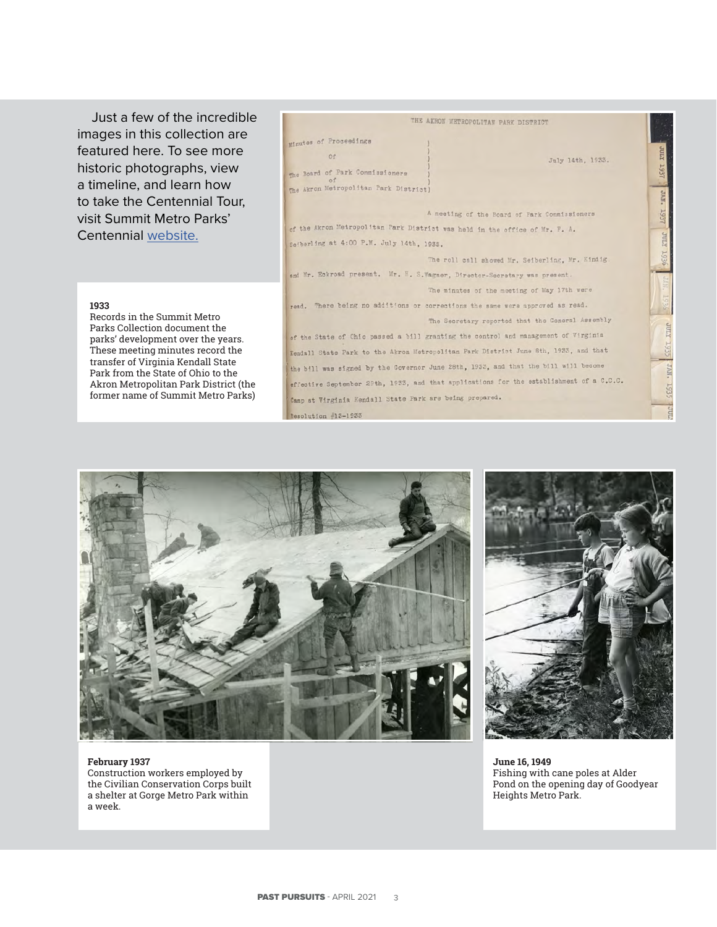Just a few of the incredible images in this collection are featured here. To see more historic photographs, view a timeline, and learn how to take the Centennial Tour, visit Summit Metro Parks' Centennial [website.](http://www.summitmetroparks100.org/)

#### THE AKRON METROPOLITAN PARK DISTRICT Minutes of Proceedings  $or$ July 14th, 1933. The Board of Park Commissioners The Akron Metropolitan Park District A meeting of the Board of Park Commissioners of the Akron Metropolitan Park District was held in the office of Mr. F. A. Sejberling at 4:00 P.M. July 14th, 1933. The roll call showed Mr. Seiberling, Mr. Kindig. and Mr. Eckroad present. Mr. H. S.Wagner, Director-Secretary was present. The minutes of the meeting of May 17th were read. There being no additions or corrections the same were approved as read. The Secretary reported that the General Assembly **XTIAC** of the State of Chio passed a bill granting the control and management of Virginia Kendall State Park to the Akron Metropolitan Park District June 8th, 1933, and that the bill was signed by the Governor June 28th, 1933, and that the bill will become · NN<sub>C</sub> effective September 29th, 1933, and that applications for the establishment of a C.C.C. 193 Camp at Virginia Kendall State Park are being prepared. Resolution  $#13-1935$

#### **1933**

Records in the Summit Metro Parks Collection document the parks' development over the years. These meeting minutes record the transfer of Virginia Kendall State Park from the State of Ohio to the Akron Metropolitan Park District (the former name of Summit Metro Parks)





**February 1937** Construction workers employed by the Civilian Conservation Corps built a shelter at Gorge Metro Park within a week.

**June 16, 1949** Fishing with cane poles at Alder Pond on the opening day of Goodyear Heights Metro Park.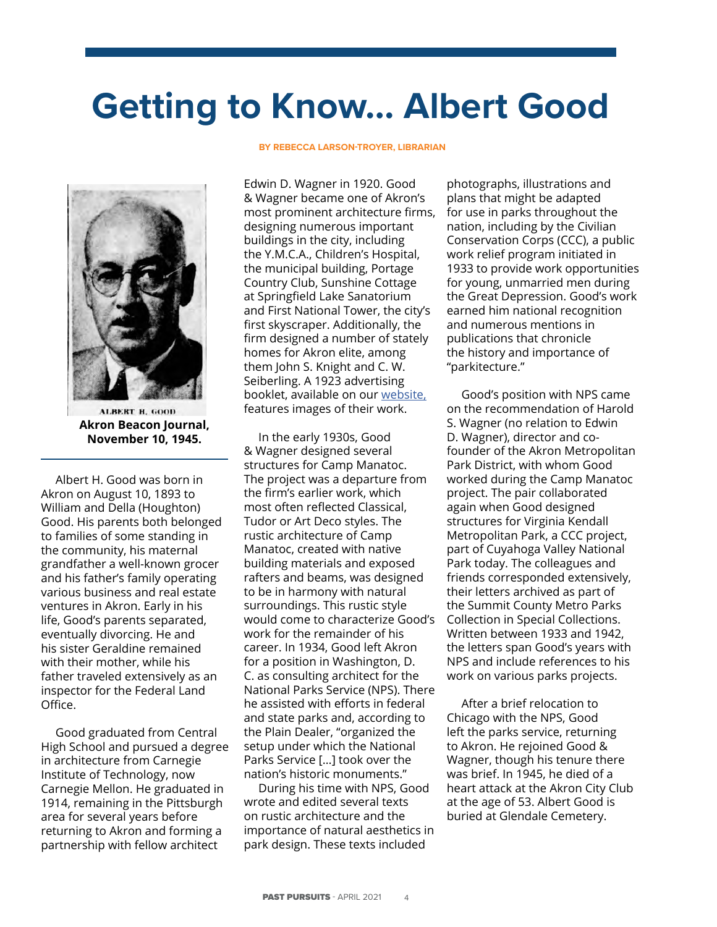# **Getting to Know… Albert Good**



**ALBERT H. GOOD Akron Beacon Journal, November 10, 1945.**

Albert H. Good was born in Akron on August 10, 1893 to William and Della (Houghton) Good. His parents both belonged to families of some standing in the community, his maternal grandfather a well-known grocer and his father's family operating various business and real estate ventures in Akron. Early in his life, Good's parents separated, eventually divorcing. He and his sister Geraldine remained with their mother, while his father traveled extensively as an inspector for the Federal Land Office.

Good graduated from Central High School and pursued a degree in architecture from Carnegie Institute of Technology, now Carnegie Mellon. He graduated in 1914, remaining in the Pittsburgh area for several years before returning to Akron and forming a partnership with fellow architect

#### **BY REBECCA LARSON-TROYER, LIBRARIAN**

Edwin D. Wagner in 1920. Good & Wagner became one of Akron's most prominent architecture firms, designing numerous important buildings in the city, including the Y.M.C.A., Children's Hospital, the municipal building, Portage Country Club, Sunshine Cottage at Springfield Lake Sanatorium and First National Tower, the city's first skyscraper. Additionally, the firm designed a number of stately homes for Akron elite, among them John S. Knight and C. W. Seiberling. A 1923 advertising booklet, available on our [website,](https://www.akronlibrary.org/images/Divisions/SpecCol/images/GoodWagner-Architects.pdf) features images of their work.

In the early 1930s, Good & Wagner designed several structures for Camp Manatoc. The project was a departure from the firm's earlier work, which most often reflected Classical, Tudor or Art Deco styles. The rustic architecture of Camp Manatoc, created with native building materials and exposed rafters and beams, was designed to be in harmony with natural surroundings. This rustic style would come to characterize Good's work for the remainder of his career. In 1934, Good left Akron for a position in Washington, D. C. as consulting architect for the National Parks Service (NPS). There he assisted with efforts in federal and state parks and, according to the Plain Dealer, "organized the setup under which the National Parks Service […] took over the nation's historic monuments."

During his time with NPS, Good wrote and edited several texts on rustic architecture and the importance of natural aesthetics in park design. These texts included

photographs, illustrations and plans that might be adapted for use in parks throughout the nation, including by the Civilian Conservation Corps (CCC), a public work relief program initiated in 1933 to provide work opportunities for young, unmarried men during the Great Depression. Good's work earned him national recognition and numerous mentions in publications that chronicle the history and importance of "parkitecture."

Good's position with NPS came on the recommendation of Harold S. Wagner (no relation to Edwin D. Wagner), director and cofounder of the Akron Metropolitan Park District, with whom Good worked during the Camp Manatoc project. The pair collaborated again when Good designed structures for Virginia Kendall Metropolitan Park, a CCC project, part of Cuyahoga Valley National Park today. The colleagues and friends corresponded extensively, their letters archived as part of the Summit County Metro Parks Collection in Special Collections. Written between 1933 and 1942, the letters span Good's years with NPS and include references to his work on various parks projects.

After a brief relocation to Chicago with the NPS, Good left the parks service, returning to Akron. He rejoined Good & Wagner, though his tenure there was brief. In 1945, he died of a heart attack at the Akron City Club at the age of 53. Albert Good is buried at Glendale Cemetery.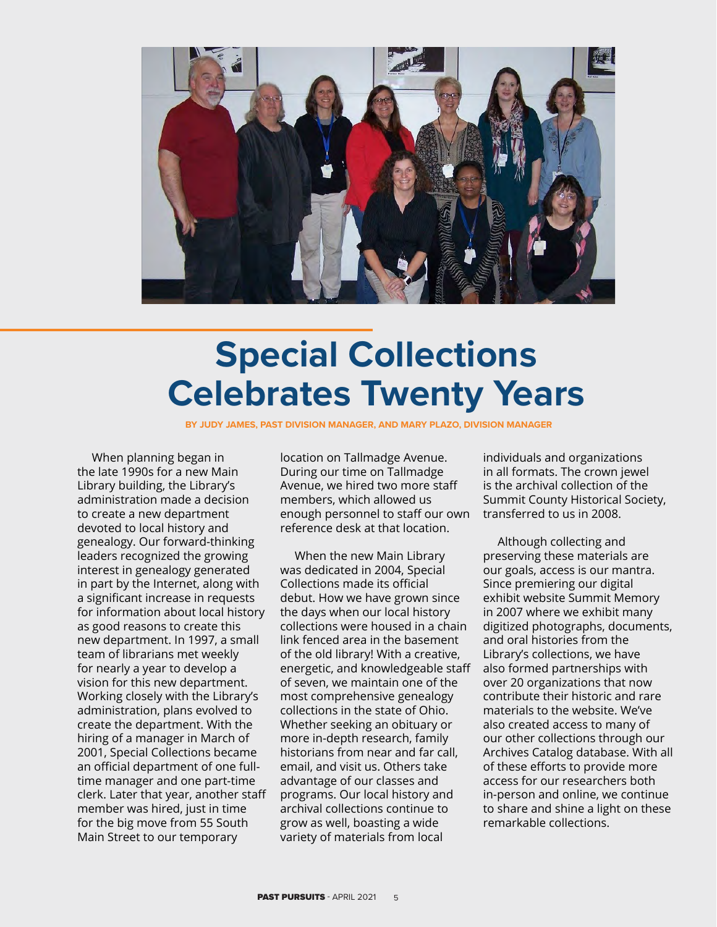

# ECIAL COLLEGE **Special Collections Celebrates Twenty Years**

**BY JUDY JAMES, PAST DIVISION MANAGER, AND MARY PLAZO, DIVISION MANAGER**

When planning began in the late 1990s for a new Main Library building, the Library's administration made a decision to create a new department devoted to local history and genealogy. Our forward-thinking leaders recognized the growing interest in genealogy generated in part by the Internet, along with a significant increase in requests for information about local history as good reasons to create this new department. In 1997, a small team of librarians met weekly for nearly a year to develop a vision for this new department. Working closely with the Library's administration, plans evolved to create the department. With the hiring of a manager in March of 2001, Special Collections became an official department of one fulltime manager and one part-time clerk. Later that year, another staff member was hired, just in time for the big move from 55 South Main Street to our temporary

AST DIVISION MANAGER, AND MARY PLAZ During our time on Tallmadge Avenue, we hired two more staff members, which allowed us enough personnel to staff our own reference desk at that location.

When the new Main Library was dedicated in 2004, Special Collections made its official debut. How we have grown since the days when our local history collections were housed in a chain link fenced area in the basement of the old library! With a creative, energetic, and knowledgeable staff of seven, we maintain one of the most comprehensive genealogy collections in the state of Ohio. Whether seeking an obituary or more in-depth research, family historians from near and far call, email, and visit us. Others take advantage of our classes and programs. Our local history and archival collections continue to grow as well, boasting a wide variety of materials from local

individuals and organizations in all formats. The crown jewel is the archival collection of the Summit County Historical Society, transferred to us in 2008.

Although collecting and preserving these materials are our goals, access is our mantra. Since premiering our digital exhibit website Summit Memory in 2007 where we exhibit many digitized photographs, documents, and oral histories from the Library's collections, we have also formed partnerships with over 20 organizations that now contribute their historic and rare materials to the website. We've also created access to many of our other collections through our Archives Catalog database. With all of these efforts to provide more access for our researchers both in-person and online, we continue to share and shine a light on these remarkable collections.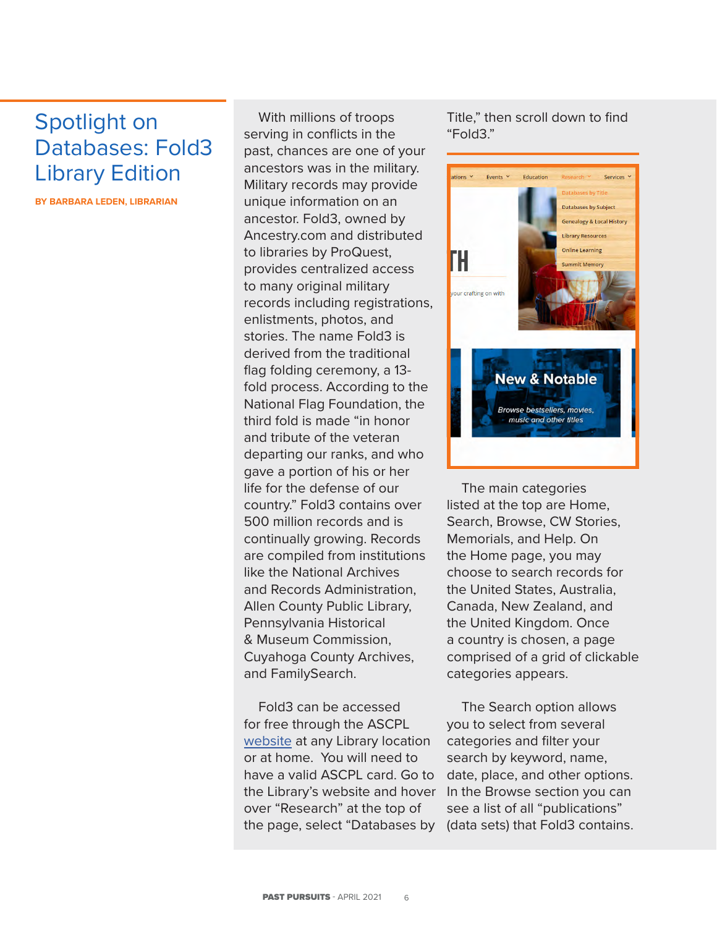## Spotlight on Databases: Fold3 Library Edition

**BY BARBARA LEDEN, LIBRARIAN**

With millions of troops serving in conflicts in the past, chances are one of your ancestors was in the military. Military records may provide unique information on an ancestor. Fold3, owned by Ancestry.com and distributed to libraries by ProQuest, provides centralized access to many original military records including registrations, enlistments, photos, and stories. The name Fold3 is derived from the traditional flag folding ceremony, a 13 fold process. According to the National Flag Foundation, the third fold is made "in honor and tribute of the veteran departing our ranks, and who gave a portion of his or her life for the defense of our country." Fold3 contains over 500 million records and is continually growing. Records are compiled from institutions like the National Archives and Records Administration, Allen County Public Library, Pennsylvania Historical & Museum Commission, Cuyahoga County Archives, and FamilySearch.

Fold3 can be accessed for free through the ASCPL [website](https://www.akronlibrary.org/) at any Library location or at home. You will need to have a valid ASCPL card. Go to the Library's website and hover over "Research" at the top of the page, select "Databases by (data sets) that Fold3 contains.

Title," then scroll down to find "Fold3."



The main categories listed at the top are Home, Search, Browse, CW Stories, Memorials, and Help. On the Home page, you may choose to search records for the United States, Australia, Canada, New Zealand, and the United Kingdom. Once a country is chosen, a page comprised of a grid of clickable categories appears.

The Search option allows you to select from several categories and filter your search by keyword, name, date, place, and other options. In the Browse section you can see a list of all "publications"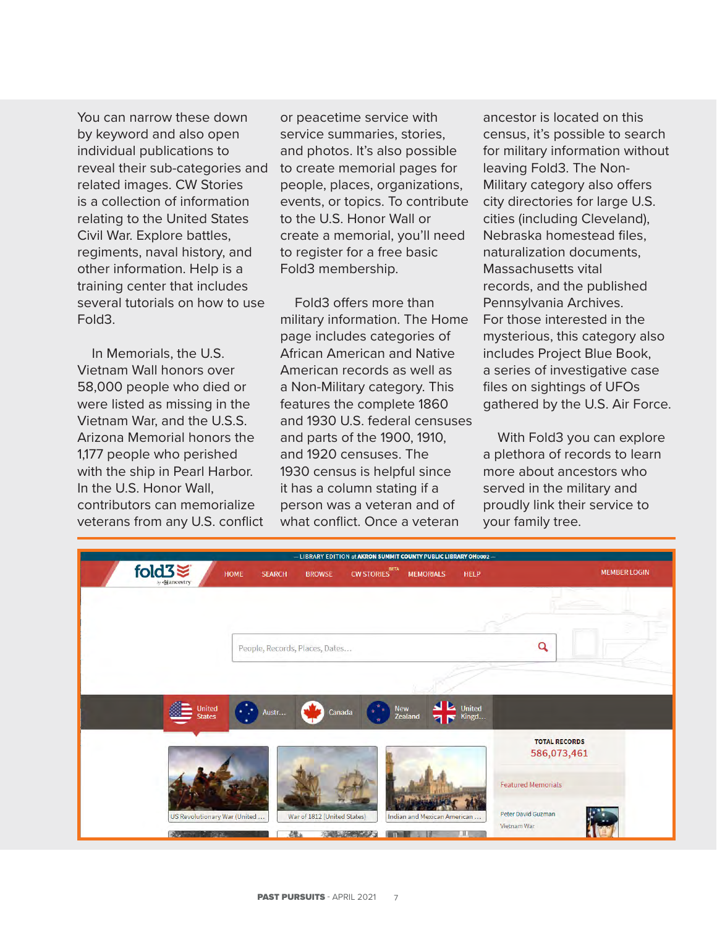You can narrow these down by keyword and also open individual publications to reveal their sub-categories and related images. CW Stories is a collection of information relating to the United States Civil War. Explore battles, regiments, naval history, and other information. Help is a training center that includes several tutorials on how to use Fold3.

In Memorials, the U.S. Vietnam Wall honors over 58,000 people who died or were listed as missing in the Vietnam War, and the U.S.S. Arizona Memorial honors the 1,177 people who perished with the ship in Pearl Harbor. In the U.S. Honor Wall, contributors can memorialize veterans from any U.S. conflict

or peacetime service with service summaries, stories, and photos. It's also possible to create memorial pages for people, places, organizations, events, or topics. To contribute to the U.S. Honor Wall or create a memorial, you'll need to register for a free basic Fold3 membership.

Fold3 offers more than military information. The Home page includes categories of African American and Native American records as well as a Non-Military category. This features the complete 1860 and 1930 U.S. federal censuses and parts of the 1900, 1910, and 1920 censuses. The 1930 census is helpful since it has a column stating if a person was a veteran and of what conflict. Once a veteran

ancestor is located on this census, it's possible to search for military information without leaving Fold3. The Non-Military category also offers city directories for large U.S. cities (including Cleveland), Nebraska homestead files, naturalization documents, Massachusetts vital records, and the published Pennsylvania Archives. For those interested in the mysterious, this category also includes Project Blue Book, a series of investigative case files on sightings of UFOs gathered by the U.S. Air Force.

With Fold3 you can explore a plethora of records to learn more about ancestors who served in the military and proudly link their service to your family tree.

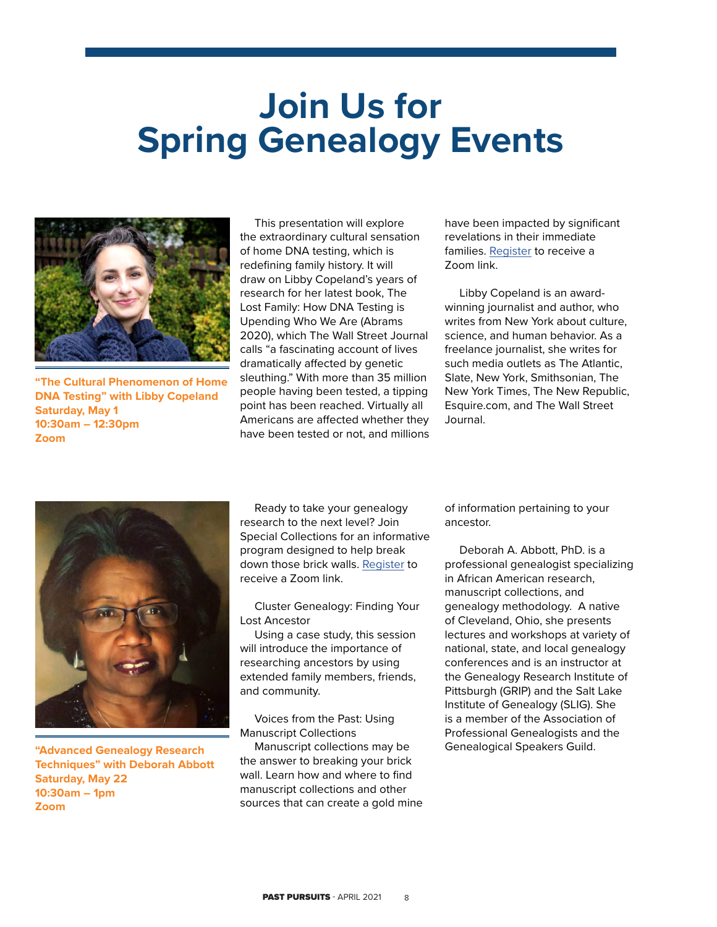# **Join Us for Spring Genealogy Events**



**"The Cultural Phenomenon of Home DNA Testing" with Libby Copeland Saturday, May 1 10:30am – 12:30pm Zoom**

This presentation will explore the extraordinary cultural sensation of home DNA testing, which is redefining family history. It will draw on Libby Copeland's years of research for her latest book, The Lost Family: How DNA Testing is Upending Who We Are (Abrams 2020), which The Wall Street Journal calls "a fascinating account of lives dramatically affected by genetic sleuthing." With more than 35 million people having been tested, a tipping point has been reached. Virtually all Americans are affected whether they have been tested or not, and millions have been impacted by significant revelations in their immediate families. [Register](https://services.akronlibrary.org/event/5019966 ) to receive a Zoom link.

Libby Copeland is an awardwinning journalist and author, who writes from New York about culture, science, and human behavior. As a freelance journalist, she writes for such media outlets as The Atlantic, Slate, New York, Smithsonian, The New York Times, The New Republic, Esquire.com, and The Wall Street Journal.



**"Advanced Genealogy Research Techniques" with Deborah Abbott Saturday, May 22 10:30am – 1pm Zoom**

Ready to take your genealogy research to the next level? Join Special Collections for an informative program designed to help break down those brick walls. [Register](https://services.akronlibrary.org/event/5020055) to receive a Zoom link.

Cluster Genealogy: Finding Your Lost Ancestor

Using a case study, this session will introduce the importance of researching ancestors by using extended family members, friends, and community.

Voices from the Past: Using Manuscript Collections

Manuscript collections may be the answer to breaking your brick wall. Learn how and where to find manuscript collections and other sources that can create a gold mine of information pertaining to your ancestor.

Deborah A. Abbott, PhD. is a professional genealogist specializing in African American research, manuscript collections, and genealogy methodology. A native of Cleveland, Ohio, she presents lectures and workshops at variety of national, state, and local genealogy conferences and is an instructor at the Genealogy Research Institute of Pittsburgh (GRIP) and the Salt Lake Institute of Genealogy (SLIG). She is a member of the Association of Professional Genealogists and the Genealogical Speakers Guild.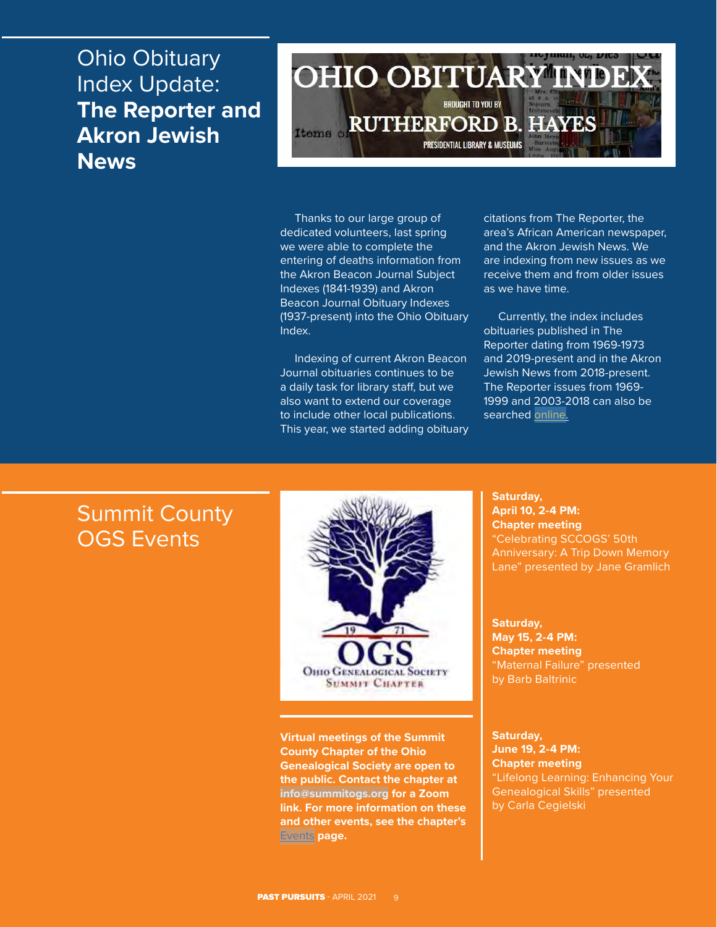## Ohio Obituary Index Update: **The Reporter and Akron Jewish News**



Thanks to our large group of dedicated volunteers, last spring we were able to complete the entering of deaths information from the Akron Beacon Journal Subject Indexes (1841-1939) and Akron Beacon Journal Obituary Indexes (1937-present) into the Ohio Obituary Index.

Indexing of current Akron Beacon Journal obituaries continues to be a daily task for library staff, but we also want to extend our coverage to include other local publications. This year, we started adding obituary

citations from The Reporter, the area's African American newspaper, and the Akron Jewish News. We are indexing from new issues as we receive them and from older issues as we have time.

Currently, the index includes obituaries published in The Reporter dating from 1969-1973 and 2019-present and in the Akron Jewish News from 2018-present. The Reporter issues from 1969- 1999 and 2003-2018 can also be searched [online.](https://cdm16007.contentdm.oclc.org/digital/collection/p16007coll68)

## Summit County OGS Events



**Virtual meetings of the Summit County Chapter of the Ohio Genealogical Society are open to the public. Contact the chapter at [info@summitogs.org](mailto:info@summitogs.org) for a Zoom link. For more information on these and other events, see the chapter's**  [Events](https://summitogs.org/eventListings.php?nm=68) **page.**

**Saturday, April 10, 2-4 PM: Chapter meeting** "Celebrating SCCOGS' 50th Anniversary: A Trip Down Memory Lane" presented by Jane Gramlich

**Saturday, May 15, 2-4 PM: Chapter meeting** "Maternal Failure" presented by Barb Baltrinic

#### **Saturday, June 19, 2-4 PM: Chapter meeting** "Lifelong Learning: Enhancing Your Genealogical Skills" presented by Carla Cegielski